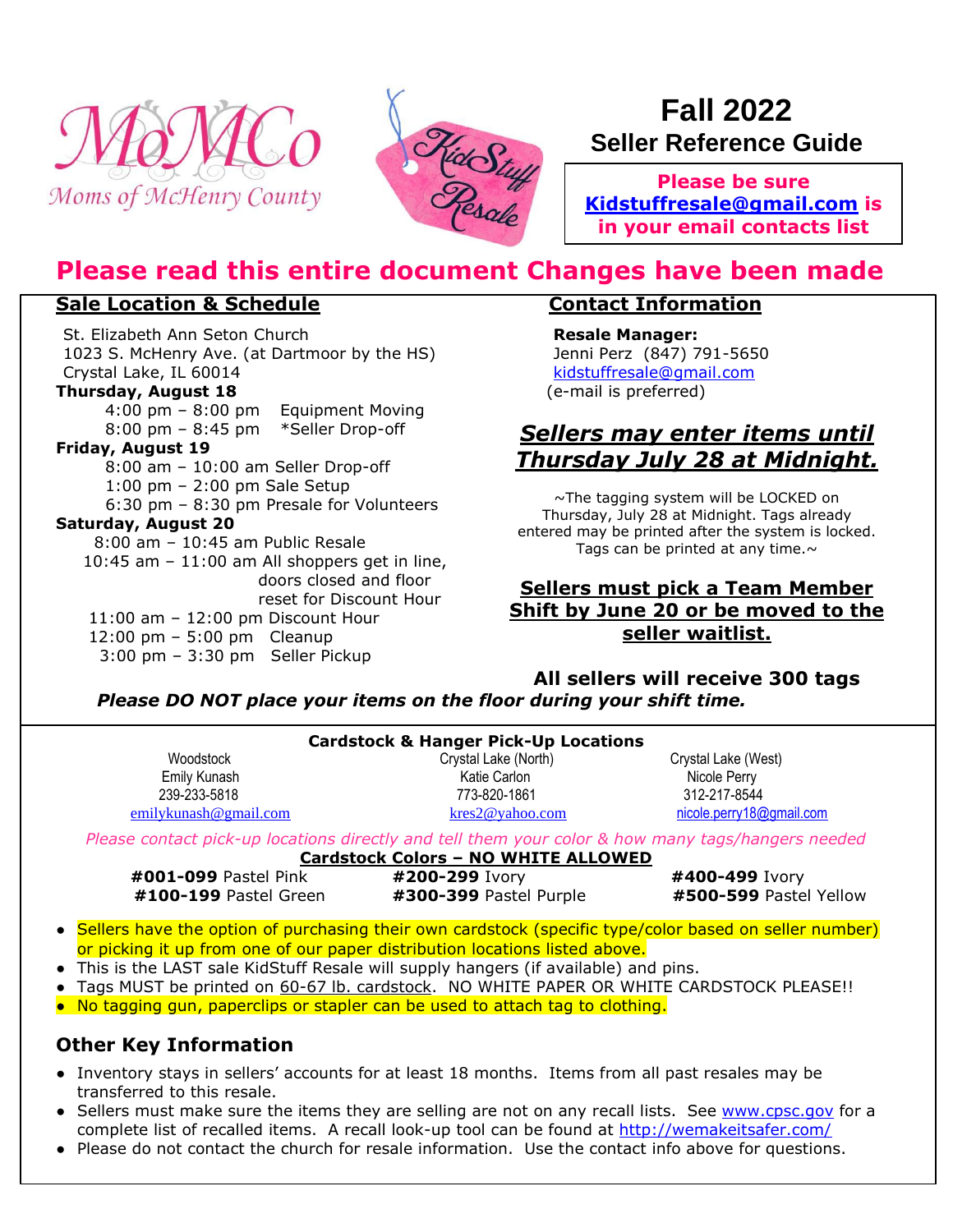



# **Fall 2022 Seller Reference Guide**

**Please be sure [Kidstuffresale@gmail.com](mailto:Kidstuffresale@gmail.com) is in your email contacts list**

# **Please read this entire document Changes have been made**

#### **Sale Location & Schedule**

St. Elizabeth Ann Seton Church 1023 S. McHenry Ave. (at Dartmoor by the HS) Crystal Lake, IL 60014 **Thursday, August 18** 4:00 pm – 8:00 pm Equipment Moving

8:00 pm – 8:45 pm \*Seller Drop-off

**Friday, August 19**

 8:00 am – 10:00 am Seller Drop-off 1:00 pm – 2:00 pm Sale Setup 6:30 pm – 8:30 pm Presale for Volunteers **Saturday, August 20** 8:00 am – 10:45 am Public Resale 10:45 am  $-$  11:00 am All shoppers get in line, doors closed and floor reset for Discount Hour 11:00 am – 12:00 pm Discount Hour 12:00 pm – 5:00 pm Cleanup 3:00 pm – 3:30 pm Seller Pickup

#### **Contact Information**

**Resale Manager:**  Jenni Perz (847) 791-5650 [kidstuffresale@gmail.com](mailto:kidstuffresale@gmail.com) (e-mail is preferred)

## *Sellers may enter items until Thursday July 28 at Midnight.*

~The tagging system will be LOCKED on Thursday, July 28 at Midnight. Tags already entered may be printed after the system is locked. Tags can be printed at any time. $\sim$ 

### **Sellers must pick a Team Member Shift by June 20 or be moved to the seller waitlist.**

**All sellers will receive 300 tags**  *Please DO NOT place your items on the floor during your shift time.*

| Woodstock             | Crystal Lake (North) | Crystal Lake (West)      |
|-----------------------|----------------------|--------------------------|
| Emily Kunash          | Katie Carlon         | Nicole Perry             |
| 239-233-5818          | 773-820-1861         | 312-217-8544             |
| emilykunash@gmail.com | kres2@vahoo.com      | nicole.perry18@gmail.com |

**Cardstock Colors – NO WHITE ALLOWED**

|                       | <u>UUIUSLOUN UUIUIS TIIV IIIILIE AEEU IIED</u> |                        |
|-----------------------|------------------------------------------------|------------------------|
| #001-099 Pastel Pink  | #200-299 Ivory                                 | #400-499 Ivory         |
| #100-199 Pastel Green | #300-399 Pastel Purple                         | #500-599 Pastel Yellow |

- Sellers have the option of purchasing their own cardstock (specific type/color based on seller number) or picking it up from one of our paper distribution locations listed above.
- This is the LAST sale KidStuff Resale will supply hangers (if available) and pins.
- Tags MUST be printed on 60-67 lb. cardstock. NO WHITE PAPER OR WHITE CARDSTOCK PLEASE!!
- No tagging gun, paperclips or stapler can be used to attach tag to clothing.

## **Other Key Information**

- Inventory stays in sellers' accounts for at least 18 months. Items from all past resales may be transferred to this resale.
- Sellers must make sure the items they are selling are not on any recall lists.See [www.cpsc.gov](http://www.cpsc.gov/) for a complete list of recalled items. A recall look-up tool can be found at<http://wemakeitsafer.com/>
- Please do not contact the church for resale information. Use the contact info above for questions.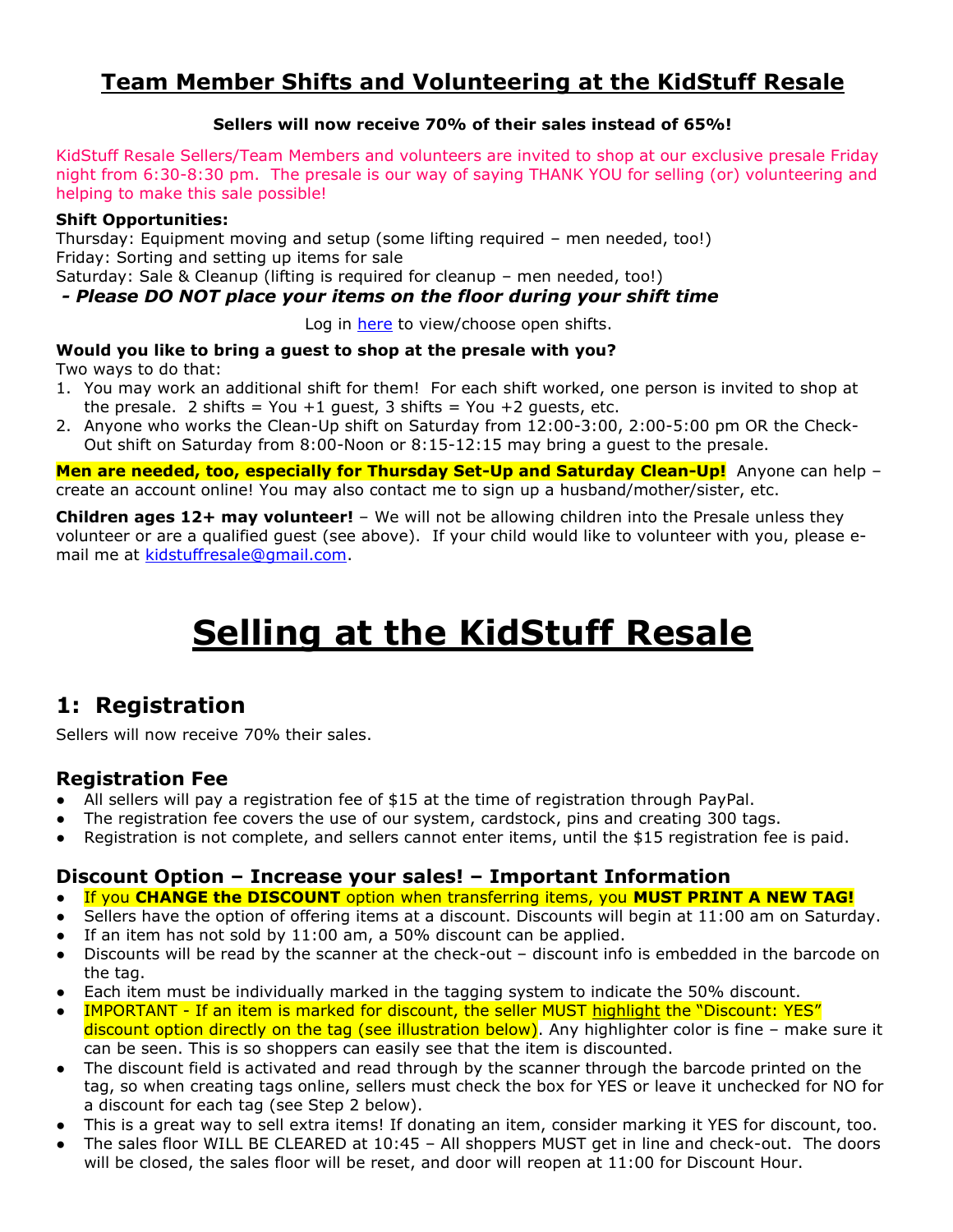# **Team Member Shifts and Volunteering at the KidStuff Resale**

#### **Sellers will now receive 70% of their sales instead of 65%!**

KidStuff Resale Sellers/Team Members and volunteers are invited to shop at our exclusive presale Friday night from 6:30-8:30 pm. The presale is our way of saying THANK YOU for selling (or) volunteering and helping to make this sale possible!

#### **Shift Opportunities:**

Thursday: Equipment moving and setup (some lifting required – men needed, too!) Friday: Sorting and setting up items for sale

Saturday: Sale & Cleanup (lifting is required for cleanup – men needed, too!)

*- Please DO NOT place your items on the floor during your shift time*

Log in [here](https://www.myconsignmentmanager.com/sellerapp/home.mycm?eventId=14740&lfCode=mchenrymothers) to view/choose open shifts.

#### **Would you like to bring a guest to shop at the presale with you?**

Two ways to do that:

- 1. You may work an additional shift for them! For each shift worked, one person is invited to shop at the presale. 2 shifts = You +1 guest, 3 shifts = You +2 guests, etc.
- 2. Anyone who works the Clean-Up shift on Saturday from 12:00-3:00, 2:00-5:00 pm OR the Check-Out shift on Saturday from 8:00-Noon or 8:15-12:15 may bring a guest to the presale.

**Men are needed, too, especially for Thursday Set-Up and Saturday Clean-Up!** Anyone can help – create an account online! You may also contact me to sign up a husband/mother/sister, etc.

**Children ages 12+ may volunteer!** – We will not be allowing children into the Presale unless they volunteer or are a qualified guest (see above). If your child would like to volunteer with you, please email me at [kidstuffresale@gmail.com.](mailto:kidstuffresale@gmail.com)

# **Selling at the KidStuff Resale**

## **1: Registration**

Sellers will now receive 70% their sales.

#### **Registration Fee**

- All sellers will pay a registration fee of \$15 at the time of registration through PayPal.
- The registration fee covers the use of our system, cardstock, pins and creating 300 tags.
- Registration is not complete, and sellers cannot enter items, until the \$15 registration fee is paid.

#### **Discount Option – Increase your sales! – Important Information**

- If you **CHANGE the DISCOUNT** option when transferring items, you **MUST PRINT A NEW TAG!**
- Sellers have the option of offering items at a discount. Discounts will begin at 11:00 am on Saturday.
- If an item has not sold by 11:00 am, a 50% discount can be applied.
- Discounts will be read by the scanner at the check-out discount info is embedded in the barcode on the tag.
- Each item must be individually marked in the tagging system to indicate the 50% discount.
- IMPORTANT If an item is marked for discount, the seller MUST highlight the "Discount: YES" discount option directly on the tag (see illustration below). Any highlighter color is fine – make sure it can be seen. This is so shoppers can easily see that the item is discounted.
- The discount field is activated and read through by the scanner through the barcode printed on the tag, so when creating tags online, sellers must check the box for YES or leave it unchecked for NO for a discount for each tag (see Step 2 below).
- This is a great way to sell extra items! If donating an item, consider marking it YES for discount, too.
- The sales floor WILL BE CLEARED at 10:45 All shoppers MUST get in line and check-out. The doors will be closed, the sales floor will be reset, and door will reopen at 11:00 for Discount Hour.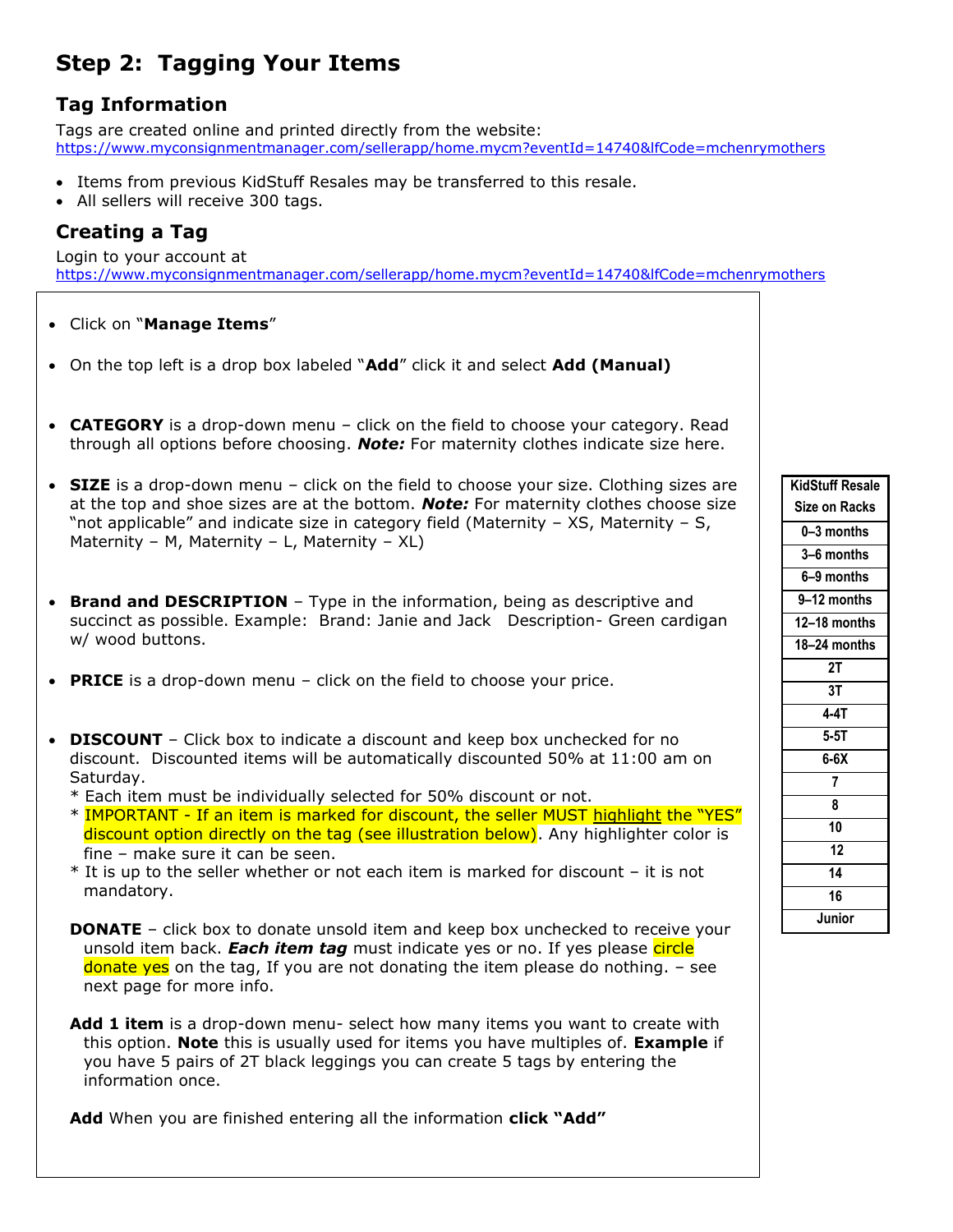# **Step 2: Tagging Your Items**

## **Tag Information**

Tags are created online and printed directly from the website: <https://www.myconsignmentmanager.com/sellerapp/home.mycm?eventId=14740&lfCode=mchenrymothers>

- Items from previous KidStuff Resales may be transferred to this resale.
- All sellers will receive 300 tags.

## **Creating a Tag**

Login to your account at <https://www.myconsignmentmanager.com/sellerapp/home.mycm?eventId=14740&lfCode=mchenrymothers>

- Click on "**Manage Items**"
- On the top left is a drop box labeled "**Add**" click it and select **Add (Manual)**
- **CATEGORY** is a drop-down menu click on the field to choose your category. Read through all options before choosing. *Note:* For maternity clothes indicate size here.
- **SIZE** is a drop-down menu click on the field to choose your size. Clothing sizes are at the top and shoe sizes are at the bottom. *Note:* For maternity clothes choose size "not applicable" and indicate size in category field (Maternity – XS, Maternity – S, Maternity – M, Maternity – L, Maternity –  $XL$ )
- **Brand and DESCRIPTION** Type in the information, being as descriptive and succinct as possible. Example: Brand: Janie and Jack Description- Green cardigan w/ wood buttons.
- **PRICE** is a drop-down menu click on the field to choose your price.
- **DISCOUNT** Click box to indicate a discount and keep box unchecked for no discount. Discounted items will be automatically discounted 50% at 11:00 am on Saturday.
	- \* Each item must be individually selected for 50% discount or not.
	- \* IMPORTANT If an item is marked for discount, the seller MUST highlight the "YES" discount option directly on the tag (see illustration below). Any highlighter color is fine – make sure it can be seen.
	- \* It is up to the seller whether or not each item is marked for discount it is not mandatory.
	- **DONATE** click box to donate unsold item and keep box unchecked to receive your unsold item back. *Each item tag* must indicate yes or no. If yes please circle donate yes on the tag, If you are not donating the item please do nothing.  $-$  see next page for more info.
	- **Add 1 item** is a drop-down menu- select how many items you want to create with this option. **Note** this is usually used for items you have multiples of. **Example** if you have 5 pairs of 2T black leggings you can create 5 tags by entering the information once.

**Add** When you are finished entering all the information **click "Add"** 

| KidStuff Resale |
|-----------------|
| Size on Racks   |
| 0-3 months      |
| 3-6 months      |
| 6–9 months      |
| 9-12 months     |
| 12-18 months    |
| 18–24 months    |
| 2T              |
| 3T              |
| $4-4T$          |
| $5-5T$          |
| $6-6X$          |
| $\overline{7}$  |
| 8               |
| 10              |
| 12              |
| 14              |
| 16              |
| Junior          |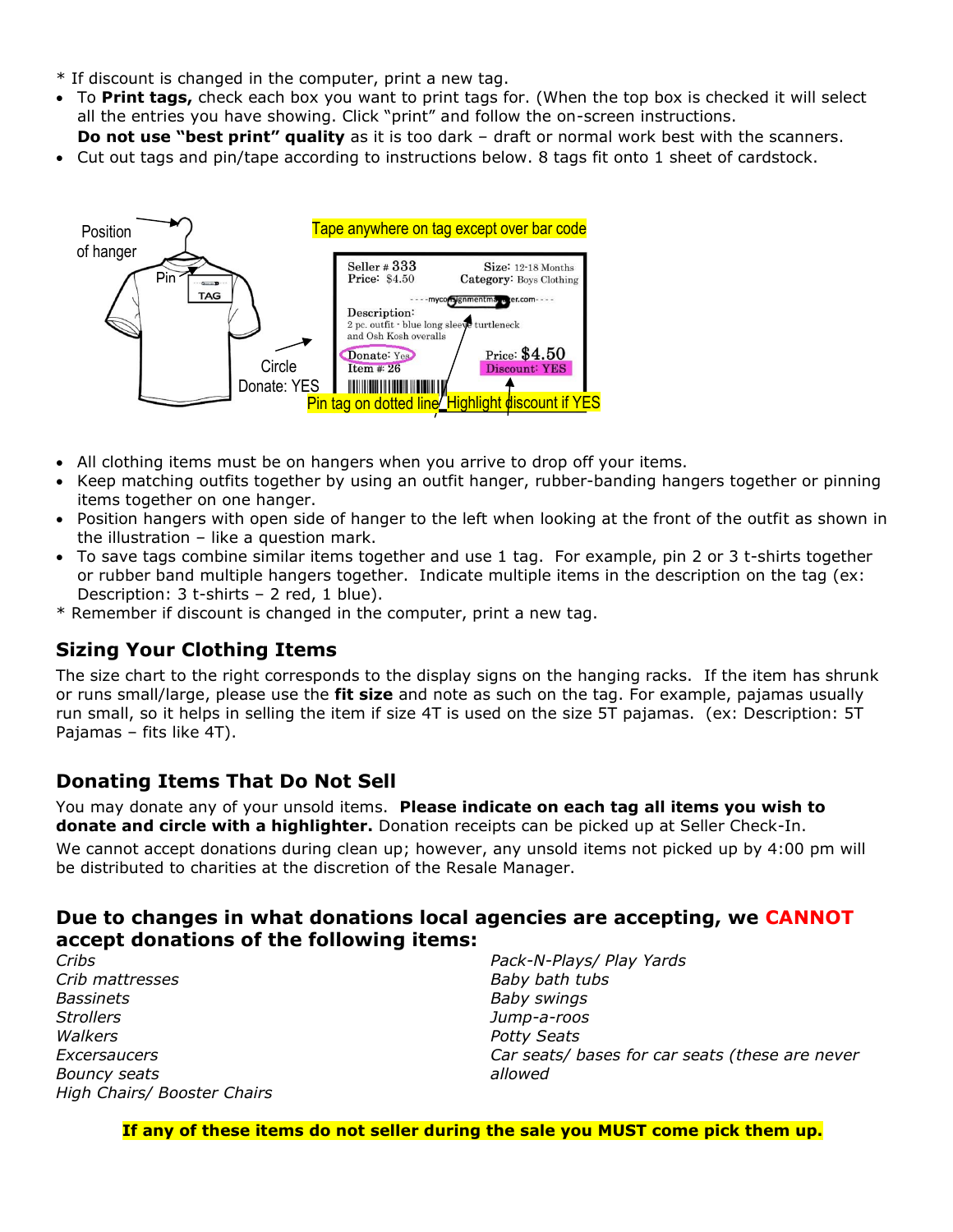- \* If discount is changed in the computer, print a new tag.
- To **Print tags,** check each box you want to print tags for. (When the top box is checked it will select all the entries you have showing. Click "print" and follow the on-screen instructions.
	- **Do not use "best print" quality** as it is too dark draft or normal work best with the scanners.
- Cut out tags and pin/tape according to instructions below. 8 tags fit onto 1 sheet of cardstock.



- All clothing items must be on hangers when you arrive to drop off your items.
- Keep matching outfits together by using an outfit hanger, rubber-banding hangers together or pinning items together on one hanger.
- Position hangers with open side of hanger to the left when looking at the front of the outfit as shown in the illustration – like a question mark.
- To save tags combine similar items together and use 1 tag. For example, pin 2 or 3 t-shirts together or rubber band multiple hangers together. Indicate multiple items in the description on the tag (ex: Description: 3 t-shirts – 2 red, 1 blue).
- \* Remember if discount is changed in the computer, print a new tag.

#### **Sizing Your Clothing Items**

The size chart to the right corresponds to the display signs on the hanging racks. If the item has shrunk or runs small/large, please use the **fit size** and note as such on the tag. For example, pajamas usually run small, so it helps in selling the item if size 4T is used on the size 5T pajamas. (ex: Description: 5T Pajamas – fits like 4T).

#### **Donating Items That Do Not Sell**

You may donate any of your unsold items. **Please indicate on each tag all items you wish to donate and circle with a highlighter.** Donation receipts can be picked up at Seller Check-In.

We cannot accept donations during clean up; however, any unsold items not picked up by 4:00 pm will be distributed to charities at the discretion of the Resale Manager.

#### **Due to changes in what donations local agencies are accepting, we CANNOT accept donations of the following items:**

*Cribs Crib mattresses Bassinets Strollers Walkers Excersaucers Bouncy seats High Chairs/ Booster Chairs* *Pack-N-Plays/ Play Yards Baby bath tubs Baby swings Jump-a-roos Potty Seats Car seats/ bases for car seats (these are never allowed*

**If any of these items do not seller during the sale you MUST come pick them up.**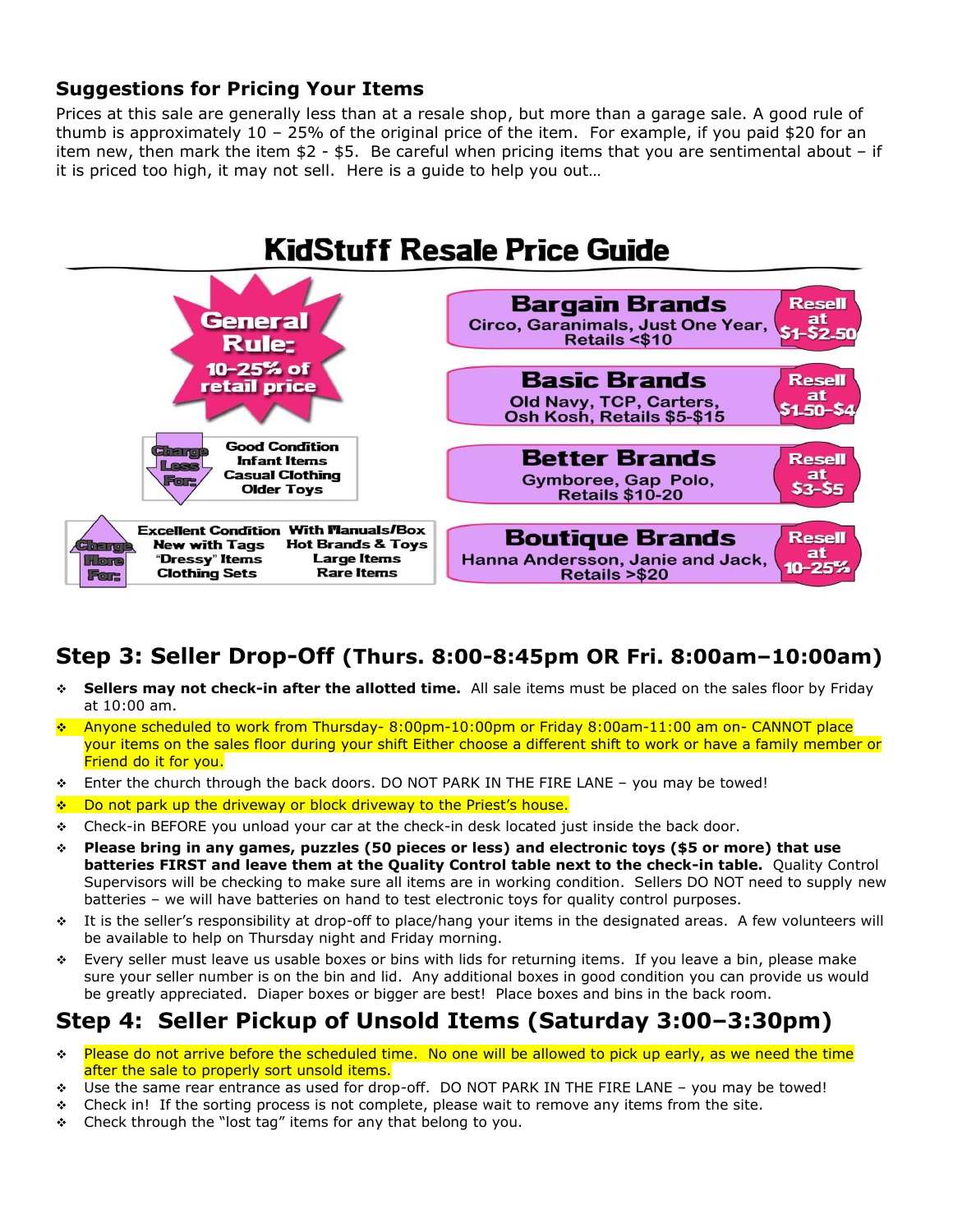#### **Suggestions for Pricing Your Items**

Prices at this sale are generally less than at a resale shop, but more than a garage sale. A good rule of thumb is approximately  $10 - 25%$  of the original price of the item. For example, if you paid \$20 for an item new, then mark the item \$2 - \$5. Be careful when pricing items that you are sentimental about – if it is priced too high, it may not sell. Here is a guide to help you out…



## **Step 3: Seller Drop-Off (Thurs. 8:00-8:45pm OR Fri. 8:00am–10:00am)**

- **Sellers may not check-in after the allotted time.** All sale items must be placed on the sales floor by Friday at 10:00 am.
- ❖ Anyone scheduled to work from Thursday- 8:00pm-10:00pm or Friday 8:00am-11:00 am on- CANNOT place your items on the sales floor during your shift Either choose a different shift to work or have a family member or Friend do it for you.
- Enter the church through the back doors. DO NOT PARK IN THE FIRE LANE you may be towed!
- ❖ Do not park up the driveway or block driveway to the Priest's house.
- ❖ Check-in BEFORE you unload your car at the check-in desk located just inside the back door.
- ❖ **Please bring in any games, puzzles (50 pieces or less) and electronic toys (\$5 or more) that use batteries FIRST and leave them at the Quality Control table next to the check-in table.** Quality Control Supervisors will be checking to make sure all items are in working condition. Sellers DO NOT need to supply new batteries – we will have batteries on hand to test electronic toys for quality control purposes.
- ❖ It is the seller's responsibility at drop-off to place/hang your items in the designated areas. A few volunteers will be available to help on Thursday night and Friday morning.
- Every seller must leave us usable boxes or bins with lids for returning items. If you leave a bin, please make sure your seller number is on the bin and lid. Any additional boxes in good condition you can provide us would be greatly appreciated. Diaper boxes or bigger are best! Place boxes and bins in the back room.

## **Step 4: Seller Pickup of Unsold Items (Saturday 3:00–3:30pm)**

- ❖ Please do not arrive before the scheduled time. No one will be allowed to pick up early, as we need the time after the sale to properly sort unsold items.
- ❖ Use the same rear entrance as used for drop-off. DO NOT PARK IN THE FIRE LANE you may be towed!
- ❖ Check in! If the sorting process is not complete, please wait to remove any items from the site.
- ❖ Check through the "lost tag" items for any that belong to you.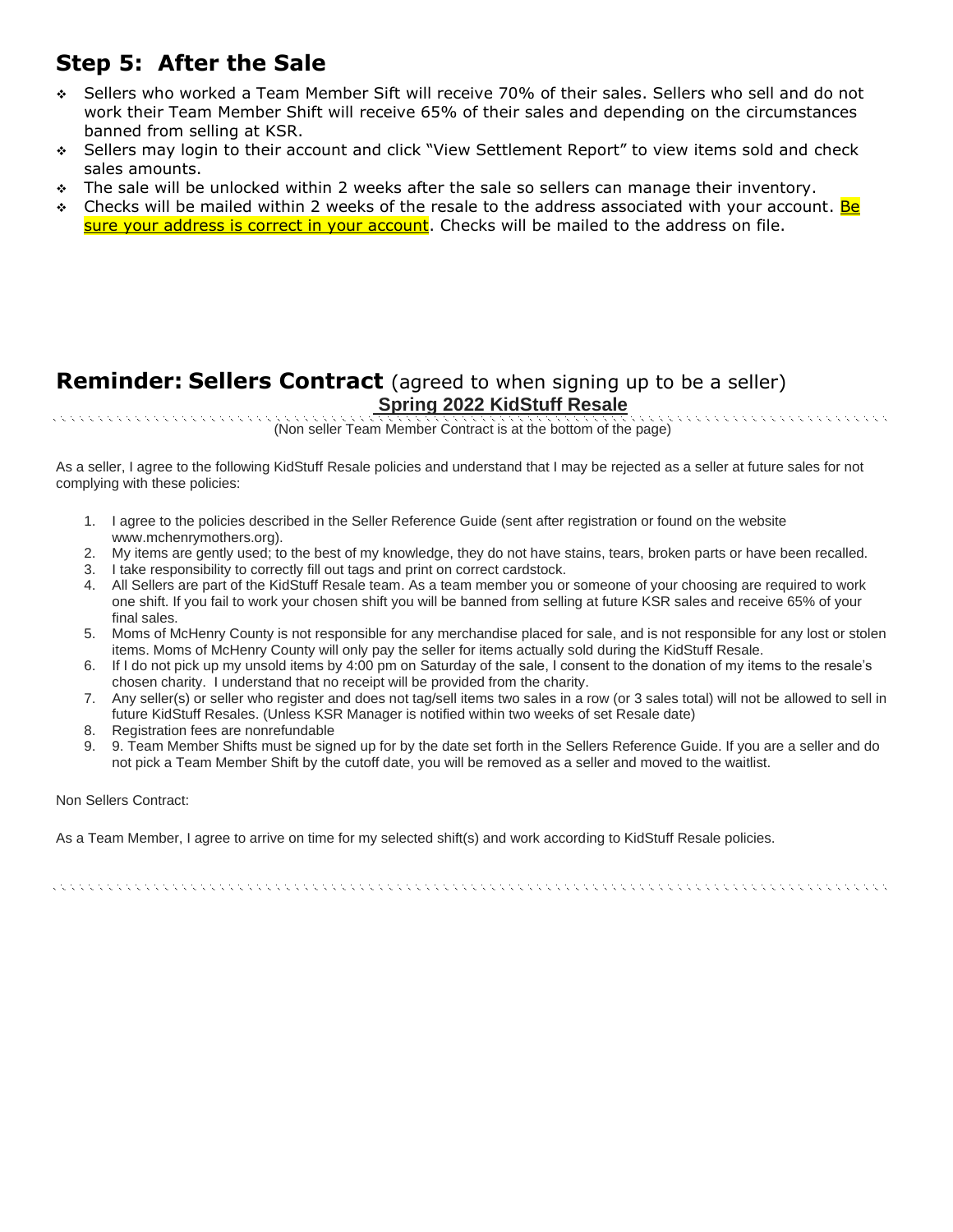# **Step 5: After the Sale**

- Sellers who worked a Team Member Sift will receive 70% of their sales. Sellers who sell and do not work their Team Member Shift will receive 65% of their sales and depending on the circumstances banned from selling at KSR.
- ❖ Sellers may login to their account and click "View Settlement Report" to view items sold and check sales amounts.
- ❖ The sale will be unlocked within 2 weeks after the sale so sellers can manage their inventory.
- ◆ Checks will be mailed within 2 weeks of the resale to the address associated with your account. Be sure your address is correct in your account. Checks will be mailed to the address on file.

#### **Reminder: Sellers Contract** (agreed to when signing up to be a seller) **Spring 2022 KidStuff Resale ARANA MARANA MARANA MARANA MARANA MARANA MARANA MARANA MARANA MARANA MARANA MARANA MARANA MARANA MARANA MARANA**

(Non seller Team Member Contract is at the bottom of the page)

As a seller, I agree to the following KidStuff Resale policies and understand that I may be rejected as a seller at future sales for not complying with these policies:

- 1. I agree to the policies described in the Seller Reference Guide (sent after registration or found on the website www.mchenrymothers.org).
- 2. My items are gently used; to the best of my knowledge, they do not have stains, tears, broken parts or have been recalled.
- 3. I take responsibility to correctly fill out tags and print on correct cardstock.
- 4. All Sellers are part of the KidStuff Resale team. As a team member you or someone of your choosing are required to work one shift. If you fail to work your chosen shift you will be banned from selling at future KSR sales and receive 65% of your final sales.
- 5. Moms of McHenry County is not responsible for any merchandise placed for sale, and is not responsible for any lost or stolen items. Moms of McHenry County will only pay the seller for items actually sold during the KidStuff Resale.
- 6. If I do not pick up my unsold items by 4:00 pm on Saturday of the sale, I consent to the donation of my items to the resale's chosen charity. I understand that no receipt will be provided from the charity.
- 7. Any seller(s) or seller who register and does not tag/sell items two sales in a row (or 3 sales total) will not be allowed to sell in future KidStuff Resales. (Unless KSR Manager is notified within two weeks of set Resale date)
- 8. Registration fees are nonrefundable
- 9. 9. Team Member Shifts must be signed up for by the date set forth in the Sellers Reference Guide. If you are a seller and do not pick a Team Member Shift by the cutoff date, you will be removed as a seller and moved to the waitlist.

Non Sellers Contract:

As a Team Member, I agree to arrive on time for my selected shift(s) and work according to KidStuff Resale policies.